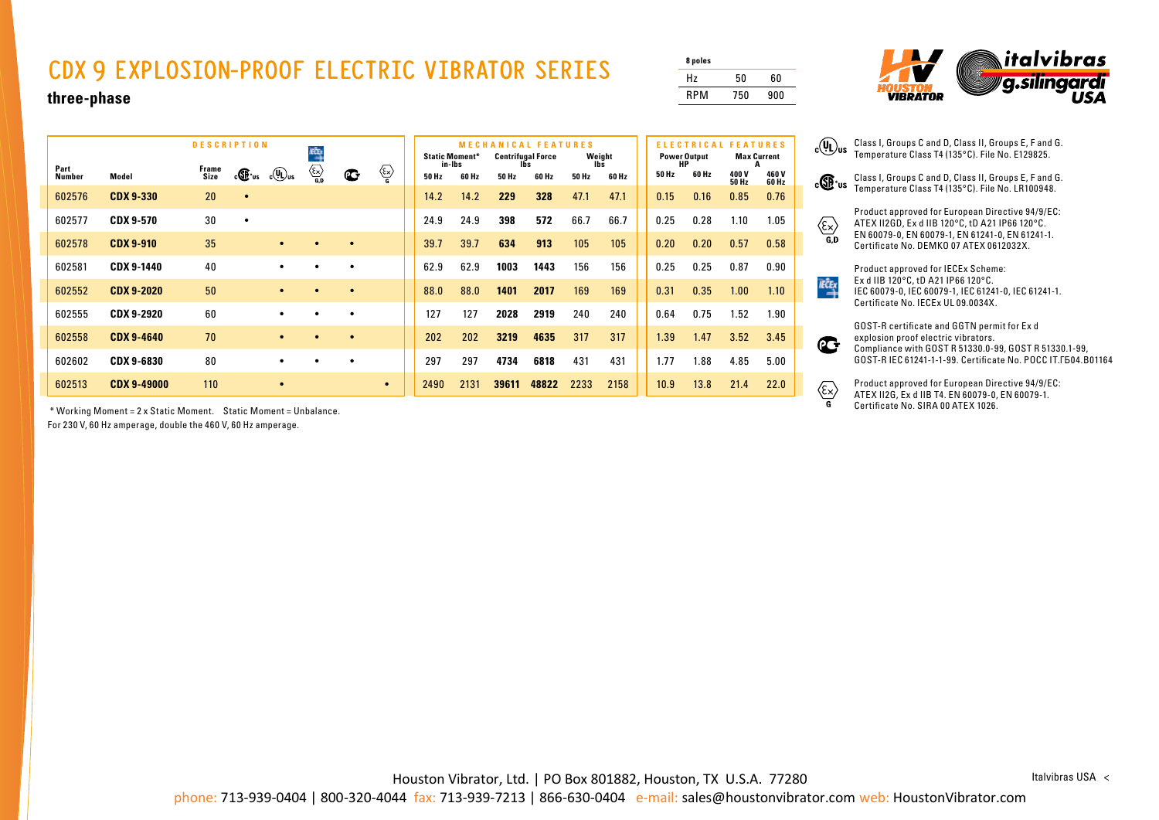## **CDX 9 EXPLOSION-PROOF ELECTRIC VIBRATOR SERIES**

| 8 poles    |     |     |
|------------|-----|-----|
| Hz         | 50  | 60  |
| <b>RPM</b> | 750 | 900 |



**three-phase**

| <b>DESCRIPTION</b> |                    |               |           |                          | KĆĻ                                                                                                                   |             |           |       | <b>Static Moment*</b><br>in-Ibs |       |       | <b>MECHANICAL FEATURES</b><br><b>Centrifugal Force</b><br>Weight<br>lbs. |       |  | <b>ELECTRICAL</b><br><b>Power Output</b><br>HP |       |               | <b>FEATURES</b><br><b>Max Current</b> |  |
|--------------------|--------------------|---------------|-----------|--------------------------|-----------------------------------------------------------------------------------------------------------------------|-------------|-----------|-------|---------------------------------|-------|-------|--------------------------------------------------------------------------|-------|--|------------------------------------------------|-------|---------------|---------------------------------------|--|
| Part<br>Number     | Model              | Frame<br>Size | c®™       | $_{c}$ (U) <sub>us</sub> | $\begin{matrix} & & \\ & \begin{matrix} & \end{matrix} \\ & \begin{matrix} & \end{matrix} \\ \mathbf{G} \end{matrix}$ | $\mathbf C$ | ∕≅        | 50 Hz | 60 Hz                           | 50 Hz | 60 Hz | 50 Hz                                                                    | 60 Hz |  | 50 Hz                                          | 60 Hz | 400V<br>50 Hz | 460 V<br>60 Hz                        |  |
| 602576             | <b>CDX 9-330</b>   | 20            | $\bullet$ |                          |                                                                                                                       |             |           | 14.2  | 14.2                            | 229   | 328   | 47.1                                                                     | 47.1  |  | 0.15                                           | 0.16  | 0.85          | 0.76                                  |  |
| 602577             | <b>CDX 9-570</b>   | 30            | $\bullet$ |                          |                                                                                                                       |             |           | 24.9  | 24.9                            | 398   | 572   | 66.7                                                                     | 66.7  |  | 0.25                                           | 0.28  | 1.10          | 1.05                                  |  |
| 602578             | <b>CDX 9-910</b>   | 35            |           | $\bullet$                |                                                                                                                       | $\bullet$   |           | 39.7  | 39.7                            | 634   | 913   | 105                                                                      | 105   |  | 0.20                                           | 0.20  | 0.57          | 0.58                                  |  |
| 602581             | <b>CDX 9-1440</b>  | 40            |           | $\bullet$                |                                                                                                                       | $\bullet$   |           | 62.9  | 62.9                            | 1003  | 1443  | 156                                                                      | 156   |  | 0.25                                           | 0.25  | 0.87          | 0.90                                  |  |
| 602552             | <b>CDX 9-2020</b>  | 50            |           | $\bullet$                |                                                                                                                       | $\bullet$   |           | 88.0  | 88.0                            | 1401  | 2017  | 169                                                                      | 169   |  | 0.31                                           | 0.35  | 1.00          | 1.10                                  |  |
| 602555             | CDX 9-2920         | 60            |           | ٠                        |                                                                                                                       | $\bullet$   |           | 127   | 127                             | 2028  | 2919  | 240                                                                      | 240   |  | 0.64                                           | 0.75  | 1.52          | 1.90                                  |  |
| 602558             | <b>CDX 9-4640</b>  | 70            |           | $\bullet$                |                                                                                                                       | $\bullet$   |           | 202   | 202                             | 3219  | 4635  | 317                                                                      | 317   |  | 1.39                                           | 1.47  | 3.52          | 3.45                                  |  |
| 602602             | <b>CDX 9-6830</b>  | 80            |           | $\bullet$                |                                                                                                                       | $\bullet$   |           | 297   | 297                             | 4734  | 6818  | 431                                                                      | 431   |  | 1.77                                           | 1.88  | 4.85          | 5.00                                  |  |
| 602513             | <b>CDX 9-49000</b> | 110           |           |                          |                                                                                                                       |             | $\bullet$ | 2490  | 2131                            | 39611 | 48822 | 2233                                                                     | 2158  |  | 10.9                                           | 13.8  | 21.4          | 22.0                                  |  |

\* Working Moment = 2 x Static Moment. Static Moment = Unbalance.

For 230 V, 60 Hz amperage, double the 460 V, 60 Hz amperage.

Class I, Groups C and D, Class II, Groups E, F and G. Temperature Class T4 (135°C). File No. LR100948.



**IEČEX** 

 $\mathbf{C}$ 

 $\overline{\mathbf{c}}$ 

Product approved for European Directive 94/9/EC: ATEX II2GD, Ex d IIB 120°C, tD A21 IP66 120°C. EN 60079-0, EN 60079-1, EN 61241-0, EN 61241-1. Certificate No. DEMKO 07 ATEX 0612032X.

Product approved for IECEx Scheme: Ex d IIB 120°C, tD A21 IP66 120°C. IEC 60079-0, IEC 60079-1, IEC 61241-0, IEC 61241-1. Certificate No. IECEx UL 09.0034X.

GOST-R certificate and GGTN permit for Ex d explosion proof electric vibrators. Compliance with GOST R 51330.0-99, GOST R 51330.1-99, GOST-R IEC 61241-1-1-99. Certificate No. POCC IT.ГБ04.B01164

Product approved for European Directive 94/9/EC:  $\langle \widehat{\epsilon} \times \rangle$ ATEX II2G, Ex d IIB T4. EN 60079-0, EN 60079-1. Certificate No. SIRA 00 ATEX 1026.